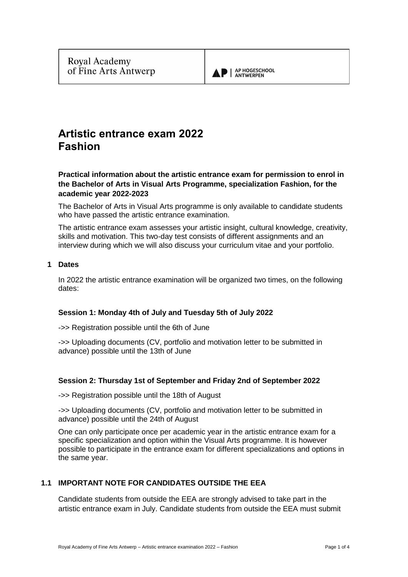

# **Artistic entrance exam 2022 Fashion**

**Practical information about the artistic entrance exam for permission to enrol in the Bachelor of Arts in Visual Arts Programme, specialization Fashion, for the academic year 2022-2023**

The Bachelor of Arts in Visual Arts programme is only available to candidate students who have passed the artistic entrance examination.

The artistic entrance exam assesses your artistic insight, cultural knowledge, creativity, skills and motivation. This two-day test consists of different assignments and an interview during which we will also discuss your curriculum vitae and your portfolio.

# **1 Dates**

In 2022 the artistic entrance examination will be organized two times, on the following dates:

#### **Session 1: Monday 4th of July and Tuesday 5th of July 2022**

->> Registration possible until the 6th of June

->> Uploading documents (CV, portfolio and motivation letter to be submitted in advance) possible until the 13th of June

# **Session 2: Thursday 1st of September and Friday 2nd of September 2022**

->> Registration possible until the 18th of August

->> Uploading documents (CV, portfolio and motivation letter to be submitted in advance) possible until the 24th of August

One can only participate once per academic year in the artistic entrance exam for a specific specialization and option within the Visual Arts programme. It is however possible to participate in the entrance exam for different specializations and options in the same year.

# **1.1 IMPORTANT NOTE FOR CANDIDATES OUTSIDE THE EEA**

Candidate students from outside the EEA are strongly advised to take part in the artistic entrance exam in July. Candidate students from outside the EEA must submit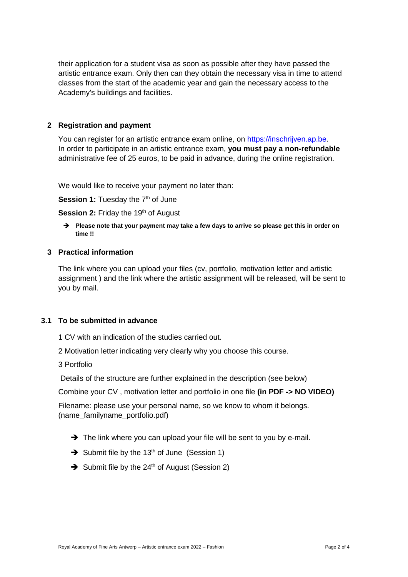their application for a student visa as soon as possible after they have passed the artistic entrance exam. Only then can they obtain the necessary visa in time to attend classes from the start of the academic year and gain the necessary access to the Academy's buildings and facilities.

## **2 Registration and payment**

You can register for an artistic entrance exam online, on [https://inschrijven.ap.be.](https://inschrijven.ap.be/?Academiejaar=2020-21&SoortOpleiding=2&Taal=2) In order to participate in an artistic entrance exam, **you must pay a non-refundable** administrative fee of 25 euros, to be paid in advance, during the online registration.

We would like to receive your payment no later than:

**Session 1:** Tuesday the 7<sup>th</sup> of June

**Session 2: Friday the 19th of August** 

➔ **Please note that your payment may take a few days to arrive so please get this in order on time !!**

### **3 Practical information**

The link where you can upload your files (cv, portfolio, motivation letter and artistic assignment ) and the link where the artistic assignment will be released, will be sent to you by mail.

## **3.1 To be submitted in advance**

1 CV with an indication of the studies carried out.

2 Motivation letter indicating very clearly why you choose this course.

3 Portfolio

Details of the structure are further explained in the description (see below)

Combine your CV , motivation letter and portfolio in one file **(in PDF -> NO VIDEO)**

Filename: please use your personal name, so we know to whom it belongs. (name\_familyname\_portfolio.pdf)

- → The link where you can upload your file will be sent to you by e-mail.
- $\rightarrow$  Submit file by the 13<sup>th</sup> of June (Session 1)
- → Submit file by the 24<sup>th</sup> of August (Session 2)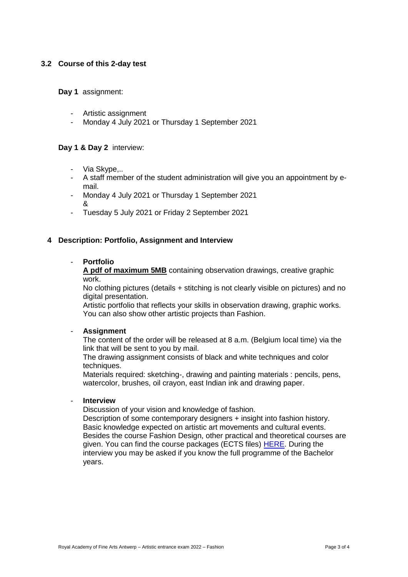# **3.2 Course of this 2-day test**

**Day 1** assignment:

- Artistic assignment
- Monday 4 July 2021 or Thursday 1 September 2021

# **Day 1 & Day 2** interview:

- Via Skype,..
- A staff member of the student administration will give you an appointment by email.
- Monday 4 July 2021 or Thursday 1 September 2021 &
- Tuesday 5 July 2021 or Friday 2 September 2021

### **4 Description: Portfolio, Assignment and Interview**

#### - **Portfolio**

**A pdf of maximum 5MB** containing observation drawings, creative graphic work.

No clothing pictures (details + stitching is not clearly visible on pictures) and no digital presentation.

Artistic portfolio that reflects your skills in observation drawing, graphic works. You can also show other artistic projects than Fashion.

#### - **Assignment**

The content of the order will be released at 8 a.m. (Belgium local time) via the link that will be sent to you by mail.

The drawing assignment consists of black and white techniques and color techniques.

Materials required: sketching-, drawing and painting materials : pencils, pens, watercolor, brushes, oil crayon, east Indian ink and drawing paper.

### - **Interview**

Discussion of your vision and knowledge of fashion.

Description of some contemporary designers + insight into fashion history. Basic knowledge expected on artistic art movements and cultural events. Besides the course Fashion Design, other practical and theoretical courses are given. You can find the course packages (ECTS files) [HERE.](https://ap-arts.be/en/programme-fashion) During the interview you may be asked if you know the full programme of the Bachelor years.